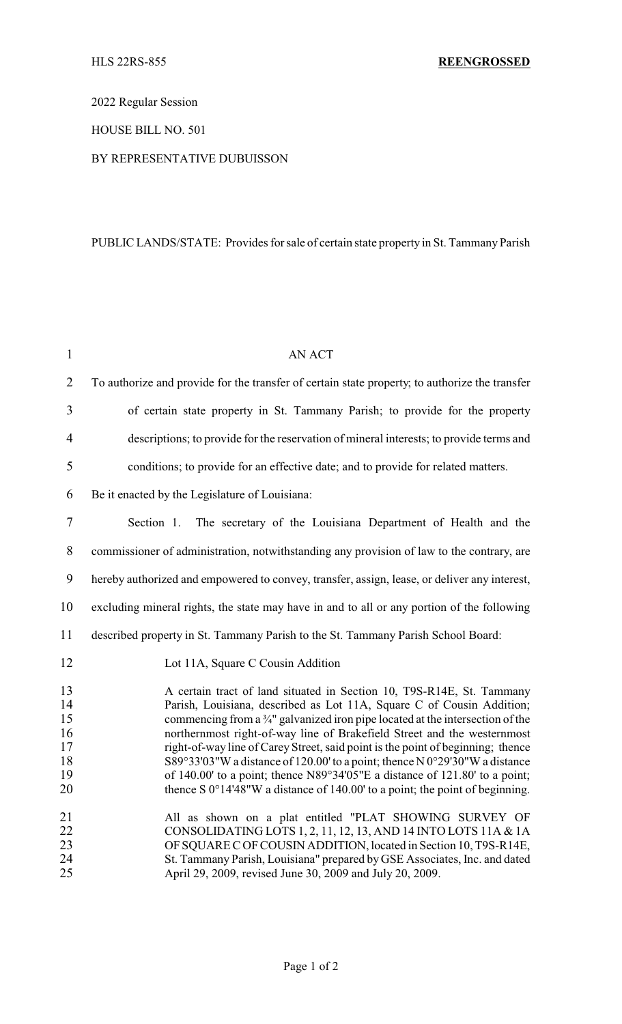2022 Regular Session

HOUSE BILL NO. 501

## BY REPRESENTATIVE DUBUISSON

## PUBLIC LANDS/STATE: Provides for sale of certain state property in St. Tammany Parish

| $\mathbf{1}$                                 | <b>AN ACT</b>                                                                                                                                                                                                                                                                                                                                                                                                                                                                                                                                                                                                                                                     |
|----------------------------------------------|-------------------------------------------------------------------------------------------------------------------------------------------------------------------------------------------------------------------------------------------------------------------------------------------------------------------------------------------------------------------------------------------------------------------------------------------------------------------------------------------------------------------------------------------------------------------------------------------------------------------------------------------------------------------|
| $\overline{2}$                               | To authorize and provide for the transfer of certain state property; to authorize the transfer                                                                                                                                                                                                                                                                                                                                                                                                                                                                                                                                                                    |
| 3                                            | of certain state property in St. Tammany Parish; to provide for the property                                                                                                                                                                                                                                                                                                                                                                                                                                                                                                                                                                                      |
| $\overline{4}$                               | descriptions; to provide for the reservation of mineral interests; to provide terms and                                                                                                                                                                                                                                                                                                                                                                                                                                                                                                                                                                           |
| 5                                            | conditions; to provide for an effective date; and to provide for related matters.                                                                                                                                                                                                                                                                                                                                                                                                                                                                                                                                                                                 |
| 6                                            | Be it enacted by the Legislature of Louisiana:                                                                                                                                                                                                                                                                                                                                                                                                                                                                                                                                                                                                                    |
| 7                                            | The secretary of the Louisiana Department of Health and the<br>Section 1.                                                                                                                                                                                                                                                                                                                                                                                                                                                                                                                                                                                         |
| 8                                            | commissioner of administration, notwithstanding any provision of law to the contrary, are                                                                                                                                                                                                                                                                                                                                                                                                                                                                                                                                                                         |
| 9                                            | hereby authorized and empowered to convey, transfer, assign, lease, or deliver any interest,                                                                                                                                                                                                                                                                                                                                                                                                                                                                                                                                                                      |
| 10                                           | excluding mineral rights, the state may have in and to all or any portion of the following                                                                                                                                                                                                                                                                                                                                                                                                                                                                                                                                                                        |
| 11                                           | described property in St. Tammany Parish to the St. Tammany Parish School Board:                                                                                                                                                                                                                                                                                                                                                                                                                                                                                                                                                                                  |
| 12                                           | Lot 11A, Square C Cousin Addition                                                                                                                                                                                                                                                                                                                                                                                                                                                                                                                                                                                                                                 |
| 13<br>14<br>15<br>16<br>17<br>18<br>19<br>20 | A certain tract of land situated in Section 10, T9S-R14E, St. Tammany<br>Parish, Louisiana, described as Lot 11A, Square C of Cousin Addition;<br>commencing from a $\frac{3}{4}$ " galvanized iron pipe located at the intersection of the<br>northernmost right-of-way line of Brakefield Street and the westernmost<br>right-of-way line of Carey Street, said point is the point of beginning; thence<br>S89°33'03"W a distance of 120.00' to a point; thence N 0°29'30"W a distance<br>of 140.00' to a point; thence N89°34'05"E a distance of 121.80' to a point;<br>thence S $0^{\circ}14'48''W$ a distance of 140.00' to a point; the point of beginning. |
| 21<br>22<br>23<br>24<br>25                   | All as shown on a plat entitled "PLAT SHOWING SURVEY OF<br>CONSOLIDATING LOTS 1, 2, 11, 12, 13, AND 14 INTO LOTS 11A & 1A<br>OF SQUARE C OF COUSIN ADDITION, located in Section 10, T9S-R14E,<br>St. Tammany Parish, Louisiana" prepared by GSE Associates, Inc. and dated<br>April 29, 2009, revised June 30, 2009 and July 20, 2009.                                                                                                                                                                                                                                                                                                                            |